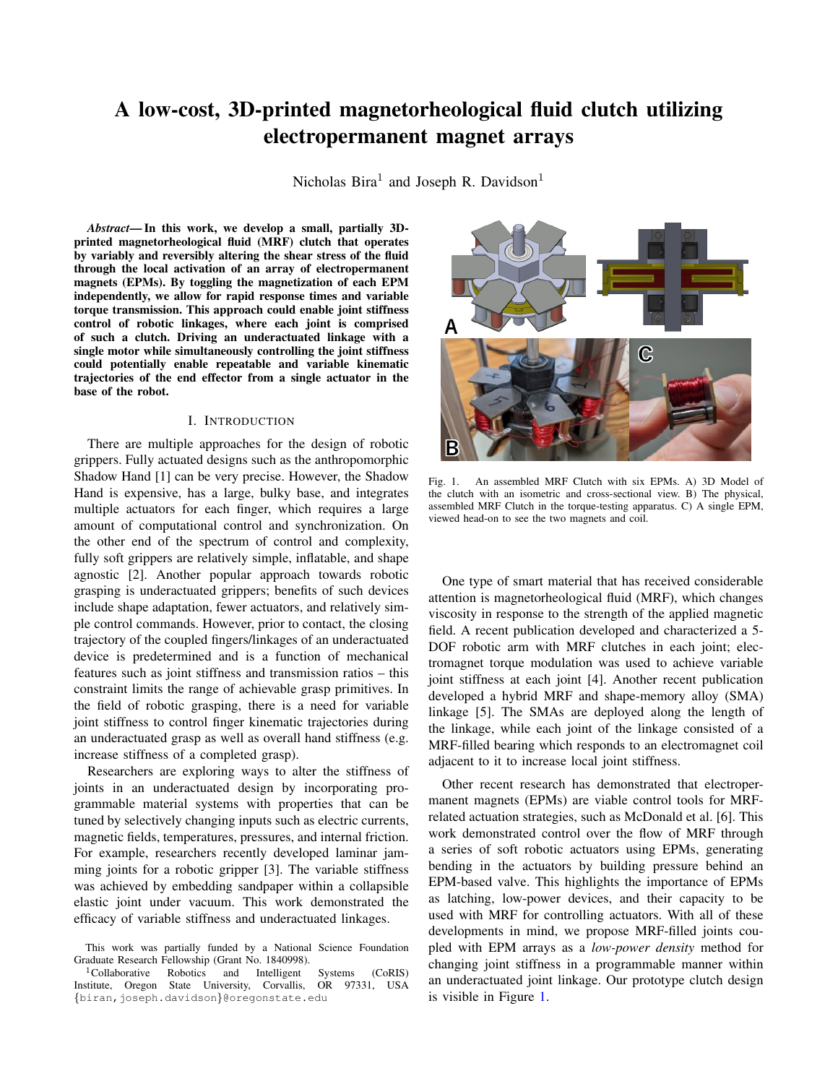# A low-cost, 3D-printed magnetorheological fluid clutch utilizing electropermanent magnet arrays

Nicholas  $Bira<sup>1</sup>$  and Joseph R. Davidson<sup>1</sup>

*Abstract*— In this work, we develop a small, partially 3Dprinted magnetorheological fluid (MRF) clutch that operates by variably and reversibly altering the shear stress of the fluid through the local activation of an array of electropermanent magnets (EPMs). By toggling the magnetization of each EPM independently, we allow for rapid response times and variable torque transmission. This approach could enable joint stiffness control of robotic linkages, where each joint is comprised of such a clutch. Driving an underactuated linkage with a single motor while simultaneously controlling the joint stiffness could potentially enable repeatable and variable kinematic trajectories of the end effector from a single actuator in the base of the robot.

### I. INTRODUCTION

There are multiple approaches for the design of robotic grippers. Fully actuated designs such as the anthropomorphic Shadow Hand [1] can be very precise. However, the Shadow Hand is expensive, has a large, bulky base, and integrates multiple actuators for each finger, which requires a large amount of computational control and synchronization. On the other end of the spectrum of control and complexity, fully soft grippers are relatively simple, inflatable, and shape agnostic [2]. Another popular approach towards robotic grasping is underactuated grippers; benefits of such devices include shape adaptation, fewer actuators, and relatively simple control commands. However, prior to contact, the closing trajectory of the coupled fingers/linkages of an underactuated device is predetermined and is a function of mechanical features such as joint stiffness and transmission ratios – this constraint limits the range of achievable grasp primitives. In the field of robotic grasping, there is a need for variable joint stiffness to control finger kinematic trajectories during an underactuated grasp as well as overall hand stiffness (e.g. increase stiffness of a completed grasp).

Researchers are exploring ways to alter the stiffness of joints in an underactuated design by incorporating programmable material systems with properties that can be tuned by selectively changing inputs such as electric currents, magnetic fields, temperatures, pressures, and internal friction. For example, researchers recently developed laminar jamming joints for a robotic gripper [3]. The variable stiffness was achieved by embedding sandpaper within a collapsible elastic joint under vacuum. This work demonstrated the efficacy of variable stiffness and underactuated linkages.



Fig. 1. An assembled MRF Clutch with six EPMs. A) 3D Model of the clutch with an isometric and cross-sectional view. B) The physical, assembled MRF Clutch in the torque-testing apparatus. C) A single EPM, viewed head-on to see the two magnets and coil.

<span id="page-0-0"></span>One type of smart material that has received considerable attention is magnetorheological fluid (MRF), which changes viscosity in response to the strength of the applied magnetic field. A recent publication developed and characterized a 5- DOF robotic arm with MRF clutches in each joint; electromagnet torque modulation was used to achieve variable joint stiffness at each joint [4]. Another recent publication developed a hybrid MRF and shape-memory alloy (SMA) linkage [5]. The SMAs are deployed along the length of the linkage, while each joint of the linkage consisted of a MRF-filled bearing which responds to an electromagnet coil adjacent to it to increase local joint stiffness.

Other recent research has demonstrated that electropermanent magnets (EPMs) are viable control tools for MRFrelated actuation strategies, such as McDonald et al. [6]. This work demonstrated control over the flow of MRF through a series of soft robotic actuators using EPMs, generating bending in the actuators by building pressure behind an EPM-based valve. This highlights the importance of EPMs as latching, low-power devices, and their capacity to be used with MRF for controlling actuators. With all of these developments in mind, we propose MRF-filled joints coupled with EPM arrays as a *low-power density* method for changing joint stiffness in a programmable manner within an underactuated joint linkage. Our prototype clutch design is visible in Figure [1.](#page-0-0)

This work was partially funded by a National Science Foundation Graduate Research Fellowship (Grant No. 1840998).

<sup>&</sup>lt;sup>1</sup>Collaborative Robotics and Intelligent Systems (CoRIS) stitute, Oregon State University, Corvallis, OR 97331, USA Institute, Oregon State University, Corvallis, {biran,joseph.davidson}@oregonstate.edu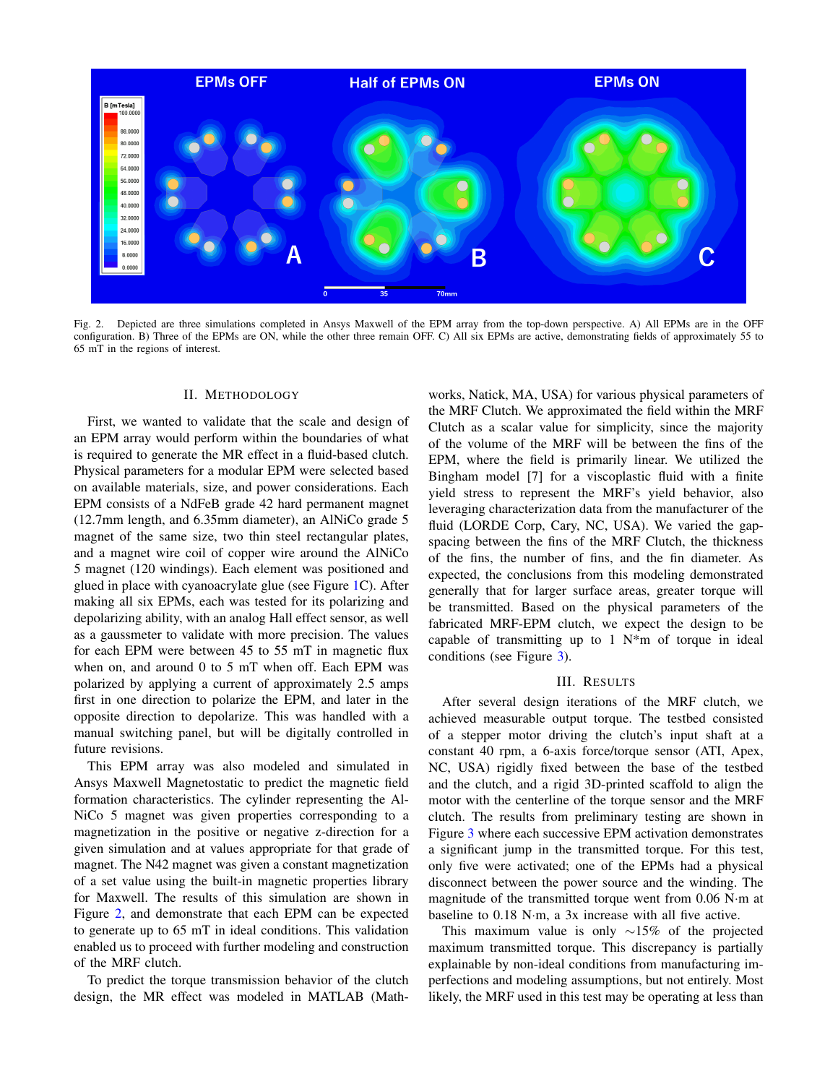

<span id="page-1-0"></span>Fig. 2. Depicted are three simulations completed in Ansys Maxwell of the EPM array from the top-down perspective. A) All EPMs are in the OFF configuration. B) Three of the EPMs are ON, while the other three remain OFF. C) All six EPMs are active, demonstrating fields of approximately 55 to 65 mT in the regions of interest.

### II. METHODOLOGY

First, we wanted to validate that the scale and design of an EPM array would perform within the boundaries of what is required to generate the MR effect in a fluid-based clutch. Physical parameters for a modular EPM were selected based on available materials, size, and power considerations. Each EPM consists of a NdFeB grade 42 hard permanent magnet (12.7mm length, and 6.35mm diameter), an AlNiCo grade 5 magnet of the same size, two thin steel rectangular plates, and a magnet wire coil of copper wire around the AlNiCo 5 magnet (120 windings). Each element was positioned and glued in place with cyanoacrylate glue (see Figure [1C](#page-0-0)). After making all six EPMs, each was tested for its polarizing and depolarizing ability, with an analog Hall effect sensor, as well as a gaussmeter to validate with more precision. The values for each EPM were between 45 to 55 mT in magnetic flux when on, and around 0 to 5 mT when off. Each EPM was polarized by applying a current of approximately 2.5 amps first in one direction to polarize the EPM, and later in the opposite direction to depolarize. This was handled with a manual switching panel, but will be digitally controlled in future revisions.

This EPM array was also modeled and simulated in Ansys Maxwell Magnetostatic to predict the magnetic field formation characteristics. The cylinder representing the Al-NiCo 5 magnet was given properties corresponding to a magnetization in the positive or negative z-direction for a given simulation and at values appropriate for that grade of magnet. The N42 magnet was given a constant magnetization of a set value using the built-in magnetic properties library for Maxwell. The results of this simulation are shown in Figure [2,](#page-1-0) and demonstrate that each EPM can be expected to generate up to 65 mT in ideal conditions. This validation enabled us to proceed with further modeling and construction of the MRF clutch.

To predict the torque transmission behavior of the clutch design, the MR effect was modeled in MATLAB (Mathworks, Natick, MA, USA) for various physical parameters of the MRF Clutch. We approximated the field within the MRF Clutch as a scalar value for simplicity, since the majority of the volume of the MRF will be between the fins of the EPM, where the field is primarily linear. We utilized the Bingham model [7] for a viscoplastic fluid with a finite yield stress to represent the MRF's yield behavior, also leveraging characterization data from the manufacturer of the fluid (LORDE Corp, Cary, NC, USA). We varied the gapspacing between the fins of the MRF Clutch, the thickness of the fins, the number of fins, and the fin diameter. As expected, the conclusions from this modeling demonstrated generally that for larger surface areas, greater torque will be transmitted. Based on the physical parameters of the fabricated MRF-EPM clutch, we expect the design to be capable of transmitting up to  $1 \text{ N}^*$ m of torque in ideal conditions (see Figure [3\)](#page-2-0).

## III. RESULTS

After several design iterations of the MRF clutch, we achieved measurable output torque. The testbed consisted of a stepper motor driving the clutch's input shaft at a constant 40 rpm, a 6-axis force/torque sensor (ATI, Apex, NC, USA) rigidly fixed between the base of the testbed and the clutch, and a rigid 3D-printed scaffold to align the motor with the centerline of the torque sensor and the MRF clutch. The results from preliminary testing are shown in Figure [3](#page-2-0) where each successive EPM activation demonstrates a significant jump in the transmitted torque. For this test, only five were activated; one of the EPMs had a physical disconnect between the power source and the winding. The magnitude of the transmitted torque went from 0.06 N·m at baseline to 0.18 N·m, a 3x increase with all five active.

This maximum value is only ∼15% of the projected maximum transmitted torque. This discrepancy is partially explainable by non-ideal conditions from manufacturing imperfections and modeling assumptions, but not entirely. Most likely, the MRF used in this test may be operating at less than